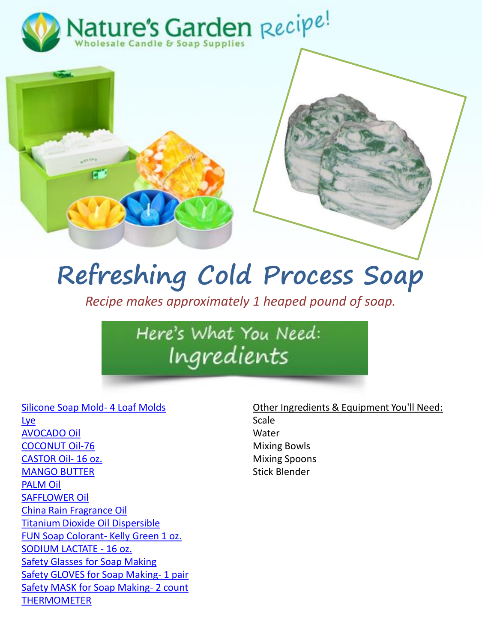



# **Refreshing Cold Process Soap**

*Recipe makes approximately 1 heaped pound of soap.*

Here's What You Need: Ingredients

#### [Silicone Soap Mold-](http://www.naturesgardencandles.com/candlemaking-soap-supplies/item/4loaves/-silicone-soap-mold--4-loaf-molds.html) 4 Loaf Molds

[Lye](http://www.naturesgardencandles.com/candlemaking-soap-supplies/item/lye/sodium-hydroxide-lye-.html) [AVOCADO Oil](http://www.naturesgardencandles.com/candlemaking-soap-supplies/item/avocado1/-avocado-oil-.html) [COCONUT Oil-76](http://www.naturesgardencandles.com/candlemaking-soap-supplies/item/76oil/-coconut-oil-76.html) [CASTOR Oil-](http://www.naturesgardencandles.com/candlemaking-soap-supplies/item/castor/-castor-oil--16-oz..html) 16 oz. [MANGO BUTTER](http://www.naturesgardencandles.com/candlemaking-soap-supplies/item/mangob/-mango-butter.html) [PALM Oil](http://www.naturesgardencandles.com/candlemaking-soap-supplies/item/palmoil/-palm-oil-.html) [SAFFLOWER Oil](http://www.naturesgardencandles.com/candlemaking-soap-supplies/item/safflower/-safflower-oil-.html) [China Rain Fragrance Oil](http://www.naturesgardencandles.com/candlemaking-soap-supplies/item/rf-9000/-china-rain-fragrance-oil-.html) [Titanium Dioxide Oil Dispersible](http://www.naturesgardencandles.com/candlemaking-soap-supplies/item/titanium/-titanium-dioxide-oil-dispersible.html) [FUN Soap Colorant-](http://www.naturesgardencandles.com/candlemaking-soap-supplies/item/kellygr/-fun-soap-colorant--kelly-green-1-oz..html) Kelly Green 1 oz. [SODIUM LACTATE -](http://www.naturesgardencandles.com/candlemaking-soap-supplies/item/sodiumlac/-sodium-lactate---16-oz..html) 16 oz. [Safety Glasses for Soap Making](http://www.naturesgardencandles.com/candlemaking-soap-supplies/item/glasses/-safety-glasses-for-soap-making.html) [Safety GLOVES for Soap Making-](http://www.naturesgardencandles.com/candlemaking-soap-supplies/item/gloves/-safety-gloves-for-soap-making--1-pair.html) 1 pair [Safety MASK for Soap Making-](http://www.naturesgardencandles.com/candlemaking-soap-supplies/item/mask/-safety-mask-for-soap-making--2-count.html) 2 count [THERMOMETER](http://www.naturesgardencandles.com/candlemaking-soap-supplies/item/equip-1/-thermometer.html)

### Other Ingredients & Equipment You'll Need: Scale Water Mixing Bowls Mixing Spoons Stick Blender